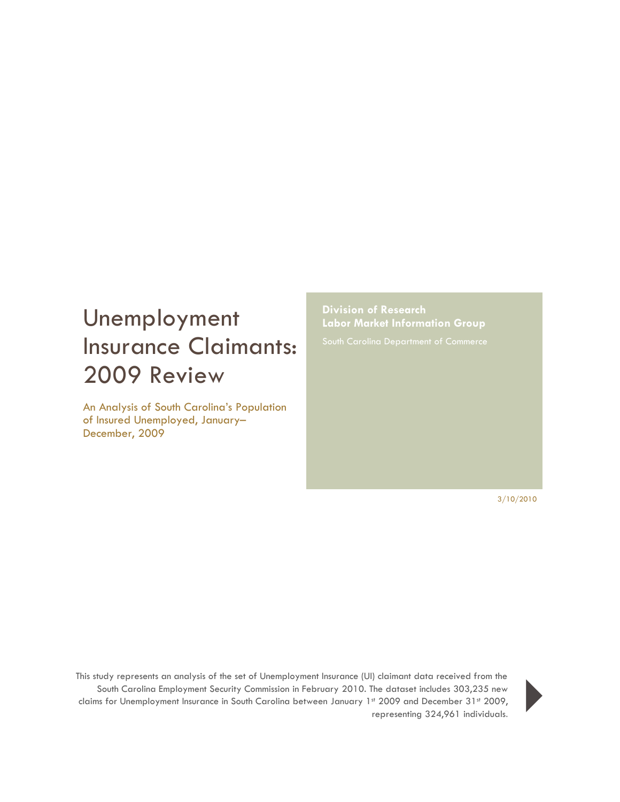# Unemployment Insurance Claimants: 2009 Review

An Analysis of South Carolina's Population of Insured Unemployed, January– December, 2009

**Division of Research Labor Market Information Group**

3/10/2010

This study represents an analysis of the set of Unemployment Insurance (UI) claimant data received from the South Carolina Employment Security Commission in February 2010. The dataset includes 303,235 new claims for Unemployment Insurance in South Carolina between January 1st 2009 and December 31st 2009, representing 324,961 individuals.<br>Fig. 2009 and December 31st 2009,<br>representing 324,961 individuals.

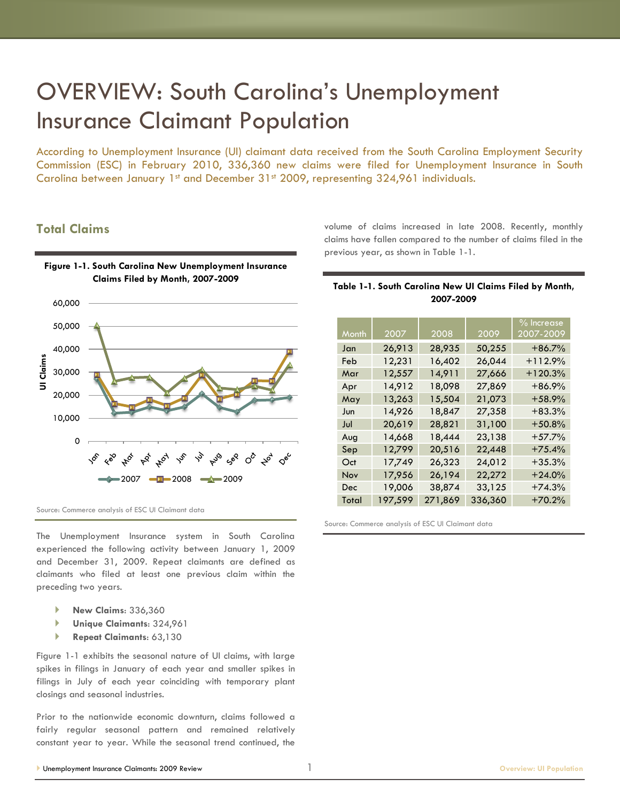## OVERVIEW: South Carolina's Unemployment Insurance Claimant Population

According to Unemployment Insurance (UI) claimant data received from the South Carolina Employment Security Commission (ESC) in February 2010, 336,360 new claims were filed for Unemployment Insurance in South Carolina between January 1st and December 31st 2009, representing 324,961 individuals.

## **Total Claims**



volume of claims increased in late 2008. Recently, monthly claims have fallen compared to the number of claims filed in the previous year, as shown in Table 1-1.

#### **Table 1-1. South Carolina New UI Claims Filed by Month, 2007-2009**

| Month | 2007    | 2008    | 2009    | % Increase<br>2007-2009 |
|-------|---------|---------|---------|-------------------------|
|       |         |         |         |                         |
| Jan   | 26,913  | 28,935  | 50,255  | $+86.7%$                |
| Feb   | 12,231  | 16,402  | 26,044  | $+112.9%$               |
| Mar   | 12,557  | 14,911  | 27,666  | $+120.3%$               |
| Apr   | 14,912  | 18,098  | 27,869  | $+86.9%$                |
| May   | 13,263  | 15,504  | 21,073  | $+58.9%$                |
| Jun   | 14,926  | 18,847  | 27,358  | $+83.3%$                |
| Jul   | 20,619  | 28,821  | 31,100  | $+50.8%$                |
| Aug   | 14,668  | 18,444  | 23,138  | $+57.7%$                |
| Sep   | 12,799  | 20,516  | 22,448  | $+75.4%$                |
| Oct   | 17,749  | 26,323  | 24,012  | $+35.3%$                |
| Nov   | 17,956  | 26,194  | 22,272  | $+24.0%$                |
| Dec   | 19,006  | 38,874  | 33,125  | $+74.3%$                |
| Total | 197,599 | 271,869 | 336,360 | $+70.2%$                |

Source: Commerce analysis of ESC UI Claimant data

The Unemployment Insurance system in South Carolina experienced the following activity between January 1, 2009 and December 31, 2009. Repeat claimants are defined as claimants who filed at least one previous claim within the preceding two years.

- **New Claims**: 336,360
- **Unique Claimants**: 324,961
- **Repeat Claimants**: 63,130

Figure 1-1 exhibits the seasonal nature of UI claims, with large spikes in filings in January of each year and smaller spikes in filings in July of each year coinciding with temporary plant closings and seasonal industries.

Prior to the nationwide economic downturn, claims followed a fairly regular seasonal pattern and remained relatively constant year to year. While the seasonal trend continued, the Source: Commerce analysis of ESC UI Claimant data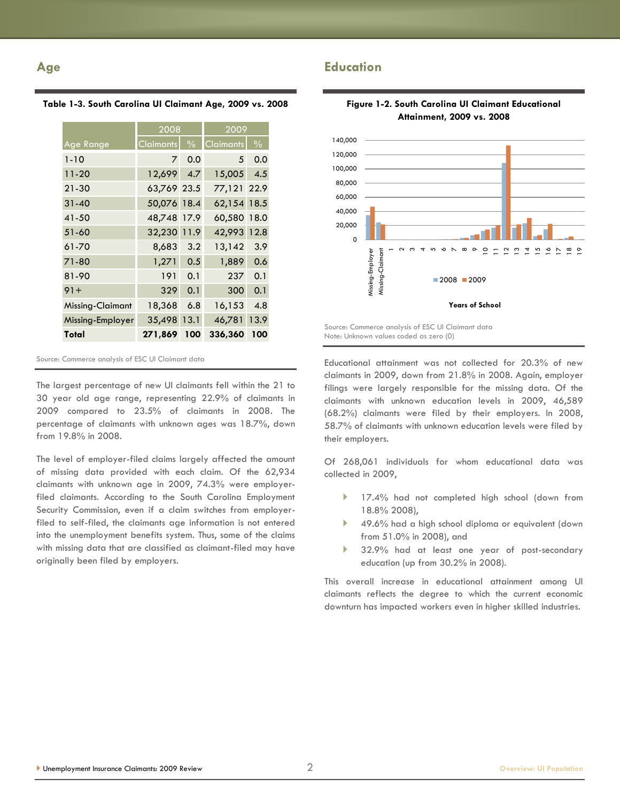### **Age**

#### **Table 1-3. South Carolina UI Claimant Age, 2009 vs. 2008**

|                  | 2008             |               | 2009             |               |
|------------------|------------------|---------------|------------------|---------------|
| Age Range        | <b>Claimants</b> | $\frac{0}{0}$ | <b>Claimants</b> | $\frac{0}{0}$ |
| $1 - 10$         | 7                | 0.0           | 5                | 0.0           |
| $11 - 20$        | 12,699           | 4.7           | 15,005           | 4.5           |
| 21-30            | 63,769 23.5      |               | 77,121 22.9      |               |
| $31 - 40$        | 50,076           | 18.4          | 62,154           | 18.5          |
| 41-50            | 48,748           | 17.9          | 60,580 18.0      |               |
| 51-60            | 32,230           | 11.9          | 42,993           | 12.8          |
| 61-70            | 8,683            | 3.2           | 13,142           | 3.9           |
| 71-80            | 1,271            | 0.5           | 1,889            | 0.6           |
| 81-90            | 191              | 0.1           | 237              | 0.1           |
| $91 +$           | 329              | 0.1           | 300              | 0.1           |
| Missing-Claimant | 18,368           | 6.8           | 16,153           | 4.8           |
| Missing-Employer | 35,498           | 13.1          | 46,781           | 13.9          |
| Total            | 271,869          | 100           | 336,360          | 100           |

Source: Commerce analysis of ESC UI Claimant data

The largest percentage of new UI claimants fell within the 21 to 30 year old age range, representing 22.9% of claimants in 2009 compared to 23.5% of claimants in 2008. The percentage of claimants with unknown ages was 18.7%, down from 19.8% in 2008.

The level of employer-filed claims largely affected the amount of missing data provided with each claim. Of the 62,934 claimants with unknown age in 2009, 74.3% were employerfiled claimants. According to the South Carolina Employment Security Commission, even if a claim switches from employerfiled to self-filed, the claimants age information is not entered into the unemployment benefits system. Thus, some of the claims with missing data that are classified as claimant-filed may have originally been filed by employers.



## **Figure 1-2. South Carolina UI Claimant Educational**

Source: Commerce analysis of ESC UI Claimant data Note: Unknown values coded as zero (0)

**Education**

Educational attainment was not collected for 20.3% of new claimants in 2009, down from 21.8% in 2008. Again, employer filings were largely responsible for the missing data. Of the claimants with unknown education levels in 2009, 46,589 (68.2%) claimants were filed by their employers. In 2008, 58.7% of claimants with unknown education levels were filed by their employers.

Of 268,061 individuals for whom educational data was collected in 2009,

- 17.4% had not completed high school (down from 18.8% 2008),
- ▶ 49.6% had a high school diploma or equivalent (down from 51.0% in 2008), and
- 32.9% had at least one year of post-secondary education (up from 30.2% in 2008).

This overall increase in educational attainment among UI claimants reflects the degree to which the current economic downturn has impacted workers even in higher skilled industries.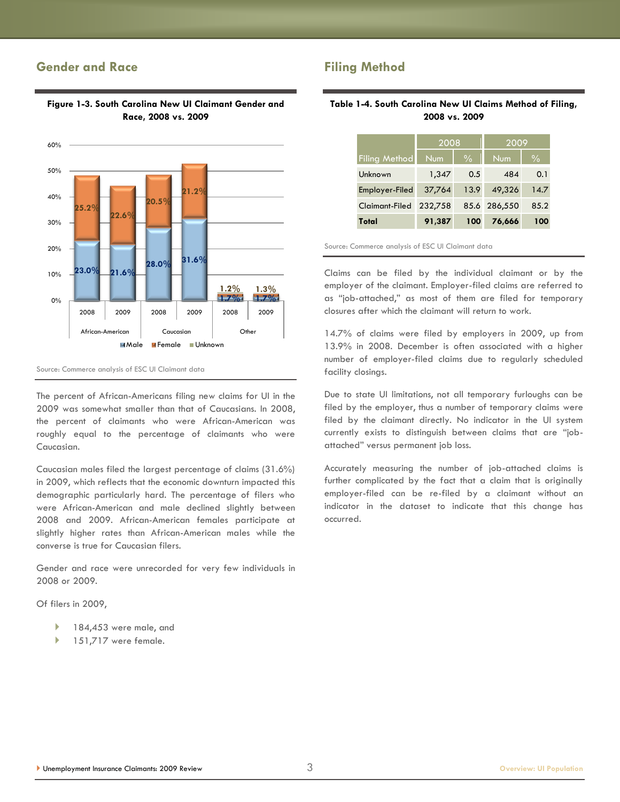### **Gender and Race**



#### **Figure 1-3. South Carolina New UI Claimant Gender and Race, 2008 vs. 2009**

Source: Commerce analysis of ESC UI Claimant data

The percent of African-Americans filing new claims for UI in the 2009 was somewhat smaller than that of Caucasians. In 2008, the percent of claimants who were African-American was roughly equal to the percentage of claimants who were Caucasian.

Caucasian males filed the largest percentage of claims (31.6%) in 2009, which reflects that the economic downturn impacted this demographic particularly hard. The percentage of filers who were African-American and male declined slightly between 2008 and 2009. African-American females participate at slightly higher rates than African-American males while the converse is true for Caucasian filers.

Gender and race were unrecorded for very few individuals in 2008 or 2009.

Of filers in 2009,

- 184,453 were male, and
- 151,717 were female.

## **Filing Method**

#### **Table 1-4. South Carolina New UI Claims Method of Filing, 2008 vs. 2009**

|                       | 2008    |               | 2009         |               |
|-----------------------|---------|---------------|--------------|---------------|
| <b>Filing Method</b>  | Num     | $\frac{0}{0}$ | <b>Num</b>   | $\frac{0}{0}$ |
| Unknown               | 1,347   | 0.5           | 484          | 0.1           |
| Employer-Filed        | 37,764  | 13.9          | 49,326       | 14.7          |
| <b>Claimant-Filed</b> | 232,758 |               | 85.6 286,550 | 85.2          |
| Total                 | 91,387  | 100           | 76,666       | 100           |

Source: Commerce analysis of ESC UI Claimant data

Claims can be filed by the individual claimant or by the employer of the claimant. Employer-filed claims are referred to as "job-attached," as most of them are filed for temporary closures after which the claimant will return to work.

14.7% of claims were filed by employers in 2009, up from 13.9% in 2008. December is often associated with a higher number of employer-filed claims due to regularly scheduled facility closings.

Due to state UI limitations, not all temporary furloughs can be filed by the employer, thus a number of temporary claims were filed by the claimant directly. No indicator in the UI system currently exists to distinguish between claims that are "jobattached‖ versus permanent job loss.

Accurately measuring the number of job-attached claims is further complicated by the fact that a claim that is originally employer-filed can be re-filed by a claimant without an indicator in the dataset to indicate that this change has occurred.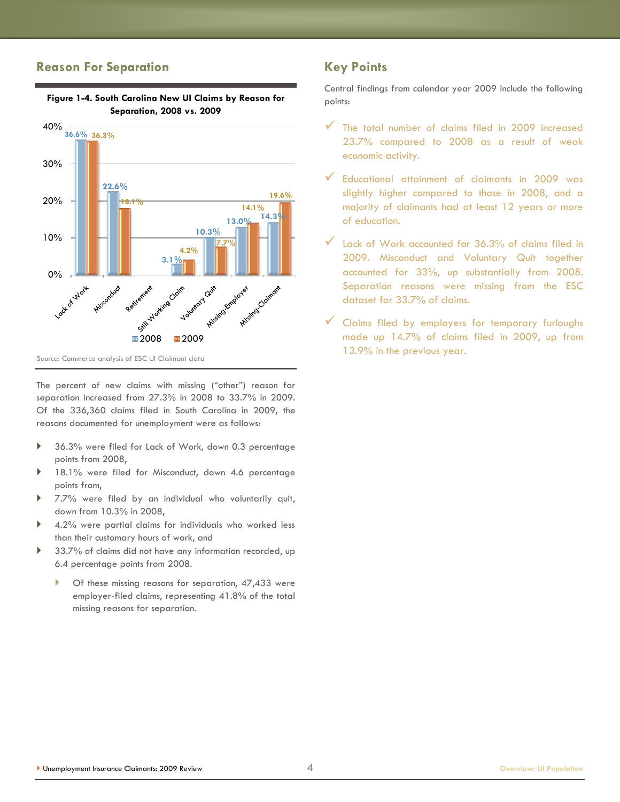#### **Reason For Separation**



**Figure 1-4. South Carolina New UI Claims by Reason for Separation, 2008 vs. 2009**

The percent of new claims with missing ("other") reason for separation increased from 27.3% in 2008 to 33.7% in 2009. Of the 336,360 claims filed in South Carolina in 2009, the reasons documented for unemployment were as follows:

- ▶ 36.3% were filed for Lack of Work, down 0.3 percentage points from 2008,
- 18.1% were filed for Misconduct, down 4.6 percentage points from,
- 7.7% were filed by an individual who voluntarily quit, down from 10.3% in 2008,
- 4.2% were partial claims for individuals who worked less than their customary hours of work, and
- 33.7% of claims did not have any information recorded, up 6.4 percentage points from 2008.
	- Of these missing reasons for separation, 47,433 were employer-filed claims, representing 41.8% of the total missing reasons for separation.

## **Key Points**

Central findings from calendar year 2009 include the following points:

- $\checkmark$  The total number of claims filed in 2009 increased 23.7% compared to 2008 as a result of weak economic activity.
- Educational attainment of claimants in 2009 was slightly higher compared to those in 2008, and a majority of claimants had at least 12 years or more of education.
- Lack of Work accounted for 36.3% of claims filed in 2009. Misconduct and Voluntary Quit together accounted for 33%, up substantially from 2008. Separation reasons were missing from the ESC dataset for 33.7% of claims.
- $\checkmark$  Claims filed by employers for temporary furloughs made up 14.7% of claims filed in 2009, up from 13.9% in the previous year.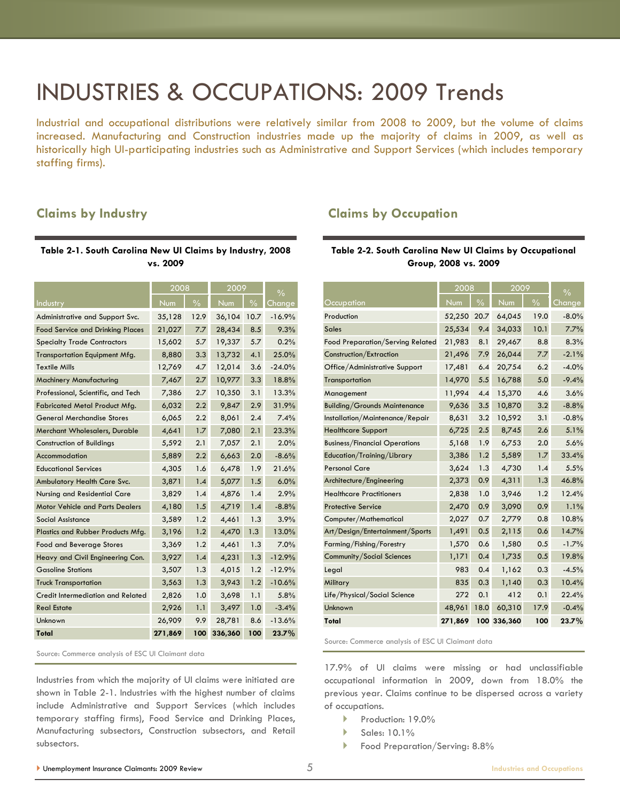## INDUSTRIES & OCCUPATIONS: 2009 Trends

Industrial and occupational distributions were relatively similar from 2008 to 2009, but the volume of claims increased. Manufacturing and Construction industries made up the majority of claims in 2009, as well as historically high UI-participating industries such as Administrative and Support Services (which includes temporary staffing firms).

#### **Claims by Industry**

#### **Table 2-1. South Carolina New UI Claims by Industry, 2008 vs. 2009**

|                                         | 2008    |               | 2009    |               | $\frac{0}{0}$ |  |
|-----------------------------------------|---------|---------------|---------|---------------|---------------|--|
| <b>Industry</b>                         | Num     | $\frac{0}{0}$ | Num     | $\frac{0}{0}$ | <u>Change</u> |  |
| Administrative and Support Svc.         | 35,128  | 12.9          | 36,104  | 10.7          | $-16.9%$      |  |
| <b>Food Service and Drinking Places</b> | 21,027  | 7.7           | 28,434  | 8.5           | 9.3%          |  |
| <b>Specialty Trade Contractors</b>      | 15,602  | 5.7           | 19,337  | 5.7           | 0.2%          |  |
| <b>Transportation Equipment Mfg.</b>    | 8,880   | 3.3           | 13,732  | 4.1           | 25.0%         |  |
| <b>Textile Mills</b>                    | 12,769  | 4.7           | 12,014  | 3.6           | $-24.0%$      |  |
| <b>Machinery Manufacturing</b>          | 7,467   | 2.7           | 10,977  | 3.3           | 18.8%         |  |
| Professional, Scientific, and Tech      | 7,386   | 2.7           | 10,350  | 3.1           | 13.3%         |  |
| Fabricated Metal Product Mfg.           | 6,032   | 2.2           | 9,847   | 2.9           | 31.9%         |  |
| <b>General Merchandise Stores</b>       | 6,065   | 2.2           | 8,061   | 2.4           | 7.4%          |  |
| Merchant Wholesalers, Durable           | 4,641   | 1.7           | 7,080   | 2.1           | 23.3%         |  |
| Construction of Buildings               | 5,592   | 2.1           | 7,057   | 2.1           | 2.0%          |  |
| Accommodation                           | 5,889   | 2.2           | 6,663   | 2.0           | $-8.6%$       |  |
| <b>Educational Services</b>             | 4,305   | 1.6           | 6,478   | 1.9           | 21.6%         |  |
| Ambulatory Health Care Svc.             | 3,871   | 1.4           | 5,077   | 1.5           | 6.0%          |  |
| Nursing and Residential Care            | 3,829   | 1.4           | 4,876   | 1.4           | 2.9%          |  |
| <b>Motor Vehicle and Parts Dealers</b>  | 4,180   | 1.5           | 4,719   | 1.4           | $-8.8%$       |  |
| <b>Social Assistance</b>                | 3,589   | 1.2           | 4,461   | 1.3           | 3.9%          |  |
| Plastics and Rubber Products Mfg.       | 3,196   | 1.2           | 4,470   | 1.3           | 13.0%         |  |
| <b>Food and Beverage Stores</b>         | 3,369   | 1.2           | 4,461   | 1.3           | 7.0%          |  |
| Heavy and Civil Engineering Con.        | 3,927   | 1.4           | 4,231   | 1.3           | $-12.9%$      |  |
| <b>Gasoline Stations</b>                | 3,507   | 1.3           | 4,015   | 1.2           | $-12.9%$      |  |
| <b>Truck Transportation</b>             | 3,563   | 1.3           | 3,943   | 1.2           | $-10.6%$      |  |
| Credit Intermediation and Related       | 2,826   | 1.0           | 3,698   | 1.1           | 5.8%          |  |
| <b>Real Estate</b>                      | 2,926   | 1.1           | 3,497   | 1.0           | $-3.4%$       |  |
| Unknown                                 | 26,909  | 9.9           | 28,781  | 8.6           | $-13.6%$      |  |
| Total                                   | 271,869 | 100           | 336,360 | 100           | 23.7%         |  |

Source: Commerce analysis of ESC UI Claimant data

Industries from which the majority of UI claims were initiated are shown in Table 2-1. Industries with the highest number of claims include Administrative and Support Services (which includes temporary staffing firms), Food Service and Drinking Places, Manufacturing subsectors, Construction subsectors, and Retail subsectors.

#### **Claims by Occupation**

#### **Table 2-2. South Carolina New UI Claims by Occupational Group, 2008 vs. 2009**

|                                      | 2008    |               | 2009        |               | $\frac{0}{0}$ |
|--------------------------------------|---------|---------------|-------------|---------------|---------------|
| Occupation                           | Num     | $\frac{0}{0}$ | Num         | $\frac{0}{0}$ | Change        |
| Production                           | 52,250  | 20.7          | 64,045      | 19.0          | $-8.0%$       |
| <b>Sales</b>                         | 25,534  | 9.4           | 34,033      | 10.1          | 7.7%          |
| Food Preparation/Serving Related     | 21,983  | 8.1           | 29,467      | 8.8           | 8.3%          |
| Construction/Extraction              | 21,496  | 7.9           | 26,044      | 7.7           | $-2.1%$       |
| Office/Administrative Support        | 17,481  | 6.4           | 20,754      | 6.2           | $-4.0%$       |
| Transportation                       | 14,970  | 5.5           | 16,788      | 5.0           | $-9.4%$       |
| Management                           | 11,994  | 4.4           | 15,370      | 4.6           | 3.6%          |
| <b>Building/Grounds Maintenance</b>  | 9,636   | 3.5           | 10,870      | 3.2           | $-8.8%$       |
| Installation/Maintenance/Repair      | 8,631   | 3.2           | 10,592      | 3.1           | $-0.8%$       |
| <b>Healthcare Support</b>            | 6,725   | 2.5           | 8,745       | 2.6           | 5.1%          |
| <b>Business/Financial Operations</b> | 5,168   | 1.9           | 6,753       | 2.0           | 5.6%          |
| Education/Training/Library           | 3,386   | 1.2           | 5,589       | 1.7           | 33.4%         |
| <b>Personal Care</b>                 | 3,624   | 1.3           | 4,730       | 1.4           | 5.5%          |
| Architecture/Engineering             | 2,373   | 0.9           | 4,311       | 1.3           | 46.8%         |
| <b>Healthcare Practitioners</b>      | 2,838   | 1.0           | 3,946       | 1.2           | 12.4%         |
| <b>Protective Service</b>            | 2,470   | 0.9           | 3,090       | 0.9           | 1.1%          |
| Computer/Mathematical                | 2,027   | 0.7           | 2,779       | 0.8           | 10.8%         |
| Art/Design/Entertainment/Sports      | 1,491   | 0.5           | 2,115       | 0.6           | 14.7%         |
| Farming/Fishing/Forestry             | 1,570   | 0.6           | 1,580       | 0.5           | $-1.7%$       |
| <b>Community/Social Sciences</b>     | 1,171   | 0.4           | 1,735       | 0.5           | 19.8%         |
| Legal                                | 983     | 0.4           | 1,162       | 0.3           | $-4.5%$       |
| Military                             | 835     | 0.3           | 1,140       | 0.3           | 10.4%         |
| Life/Physical/Social Science         | 272     | 0.1           | 412         | 0.1           | 22.4%         |
| Unknown                              | 48,961  | 18.0          | 60,310      | 17.9          | $-0.4%$       |
| Total                                | 271,869 |               | 100 336,360 | 100           | 23.7%         |

Source: Commerce analysis of ESC UI Claimant data

17.9% of UI claims were missing or had unclassifiable occupational information in 2009, down from 18.0% the previous year. Claims continue to be dispersed across a variety of occupations.

- Production: 19.0%
- $\blacktriangleright$  Sales: 10.1%
- Food Preparation/Serving: 8.8%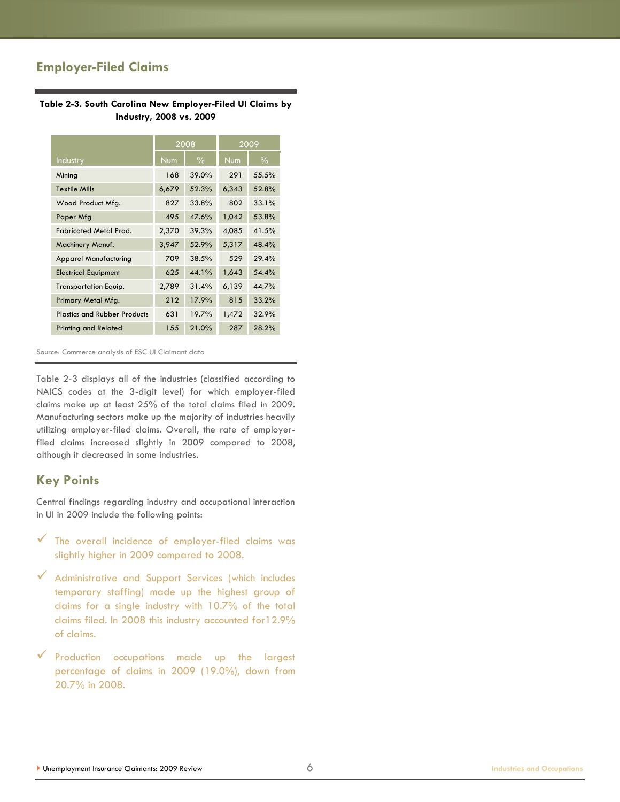## **Employer-Filed Claims**

#### **Table 2-3. South Carolina New Employer-Filed UI Claims by Industry, 2008 vs. 2009**

|                                     | 2008  |               |       | 2009          |
|-------------------------------------|-------|---------------|-------|---------------|
| Industry                            | Num   | $\frac{0}{0}$ | Num   | $\frac{0}{0}$ |
| Mining                              | 168   | 39.0%         | 291   | 55.5%         |
| <b>Textile Mills</b>                | 6,679 | 52.3%         | 6,343 | 52.8%         |
| Wood Product Mfg.                   | 827   | 33.8%         | 802   | 33.1%         |
| Paper Mfg                           | 495   | 47.6%         | 1,042 | 53.8%         |
| <b>Fabricated Metal Prod.</b>       | 2,370 | 39.3%         | 4,085 | 41.5%         |
| Machinery Manuf.                    | 3,947 | 52.9%         | 5,317 | 48.4%         |
| <b>Apparel Manufacturing</b>        | 709   | 38.5%         | 529   | 29.4%         |
| <b>Electrical Equipment</b>         | 625   | 44.1%         | 1,643 | 54.4%         |
| <b>Transportation Equip.</b>        | 2,789 | 31.4%         | 6,139 | 44.7%         |
| Primary Metal Mfg.                  | 212   | 17.9%         | 815   | 33.2%         |
| <b>Plastics and Rubber Products</b> | 631   | 19.7%         | 1,472 | 32.9%         |
| <b>Printing and Related</b>         | 155   | 21.0%         | 287   | 28.2%         |

Source: Commerce analysis of ESC UI Claimant data

Table 2-3 displays all of the industries (classified according to NAICS codes at the 3-digit level) for which employer-filed claims make up at least 25% of the total claims filed in 2009. Manufacturing sectors make up the majority of industries heavily utilizing employer-filed claims. Overall, the rate of employerfiled claims increased slightly in 2009 compared to 2008, although it decreased in some industries.

#### **Key Points**

Central findings regarding industry and occupational interaction in UI in 2009 include the following points:

- $\checkmark$  The overall incidence of employer-filed claims was slightly higher in 2009 compared to 2008.
- Administrative and Support Services (which includes temporary staffing) made up the highest group of claims for a single industry with 10.7% of the total claims filed. In 2008 this industry accounted for12.9% of claims.
- $\checkmark$  Production occupations made up the largest percentage of claims in 2009 (19.0%), down from 20.7% in 2008.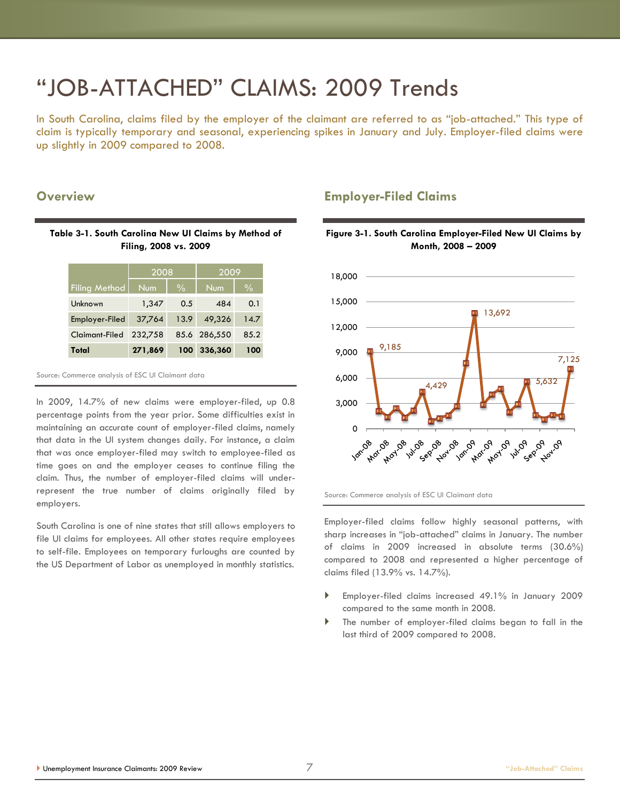# ―JOB-ATTACHED‖ CLAIMS: 2009 Trends

In South Carolina, claims filed by the employer of the claimant are referred to as "job-attached." This type of claim is typically temporary and seasonal, experiencing spikes in January and July. Employer-filed claims were up slightly in 2009 compared to 2008.

#### **Overview**

#### **Table 3-1. South Carolina New UI Claims by Method of Filing, 2008 vs. 2009**

|                      | 2008       |               | 2009         |               |
|----------------------|------------|---------------|--------------|---------------|
| <b>Filing Method</b> | <b>Num</b> | $\frac{0}{0}$ | <b>Num</b>   | $\frac{1}{2}$ |
| Unknown              | 1,347      | 0.5           | 484          | 0.1           |
| Employer-Filed       | 37,764     | 13.9          | 49,326       | 14.7          |
| Claimant-Filed       | 232,758    |               | 85.6 286,550 | 85.2          |
| Total                | 271,869    | 100           | 336,360      | 100           |

Source: Commerce analysis of ESC UI Claimant data

In 2009, 14.7% of new claims were employer-filed, up 0.8 percentage points from the year prior. Some difficulties exist in maintaining an accurate count of employer-filed claims, namely that data in the UI system changes daily. For instance, a claim that was once employer-filed may switch to employee-filed as time goes on and the employer ceases to continue filing the claim. Thus, the number of employer-filed claims will underrepresent the true number of claims originally filed by employers.

South Carolina is one of nine states that still allows employers to file UI claims for employees. All other states require employees to self-file. Employees on temporary furloughs are counted by the US Department of Labor as unemployed in monthly statistics.

### **Employer-Filed Claims**



**Figure 3-1. South Carolina Employer-Filed New UI Claims by** 

Source: Commerce analysis of ESC UI Claimant data

Employer-filed claims follow highly seasonal patterns, with sharp increases in "job-attached" claims in January. The number of claims in 2009 increased in absolute terms (30.6%) compared to 2008 and represented a higher percentage of claims filed (13.9% vs. 14.7%).

- Employer-filed claims increased 49.1% in January 2009 compared to the same month in 2008.
- The number of employer-filed claims began to fall in the last third of 2009 compared to 2008.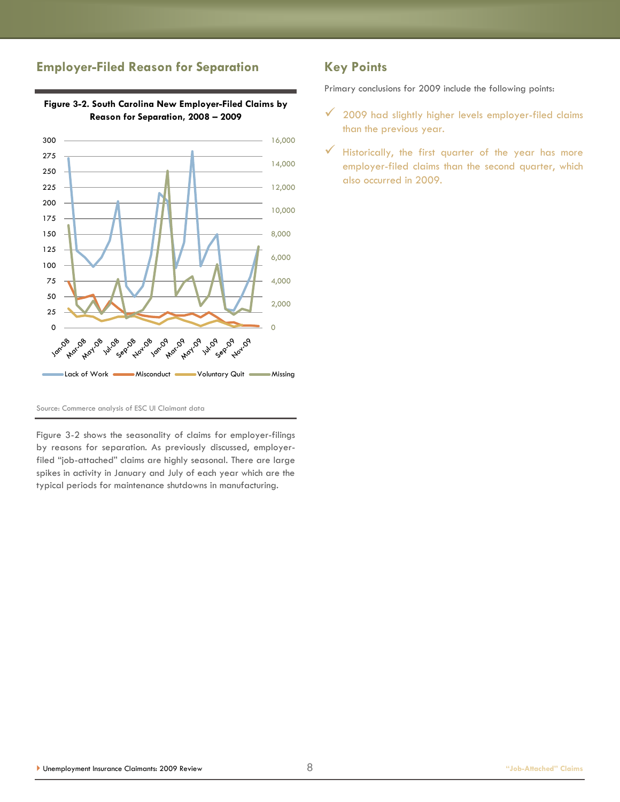## **Employer-Filed Reason for Separation**



**Figure 3-2. South Carolina New Employer-Filed Claims by Reason for Separation, 2008 – 2009**

## **Key Points**

Primary conclusions for 2009 include the following points:

- $\checkmark$  2009 had slightly higher levels employer-filed claims than the previous year.
- $\checkmark$  Historically, the first quarter of the year has more employer-filed claims than the second quarter, which also occurred in 2009.

Source: Commerce analysis of ESC UI Claimant data

Figure 3-2 shows the seasonality of claims for employer-filings by reasons for separation. As previously discussed, employerfiled "job-attached" claims are highly seasonal. There are large spikes in activity in January and July of each year which are the typical periods for maintenance shutdowns in manufacturing.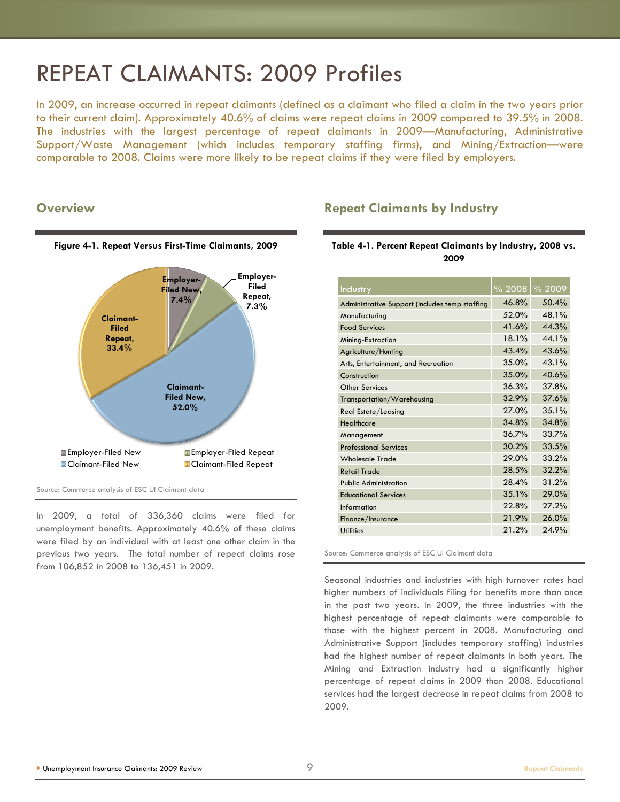## REPEAT CLAIMANTS: 2009 Profiles

In 2009, an increase occurred in repeat claimants (defined as a claimant who filed a claim in the two years prior to their current claim). Approximately 40.6% of claims were repeat claims in 2009 compared to 39.5% in 2008. The industries with the largest percentage of repeat claimants in 2009—Manufacturing, Administrative Support/Waste Management (which includes temporary staffing firms), and Mining/Extraction—were comparable to 2008. Claims were more likely to be repeat claims if they were filed by employers.

#### **Overview**



Source: Commerce analysis of ESC UI Claimant data

In 2009, a total of 336,360 claims were filed for unemployment benefits. Approximately 40.6% of these claims were filed by an individual with at least one other claim in the previous two years. The total number of repeat claims rose from 106,852 in 2008 to 136,451 in 2009.

#### **Repeat Claimants by Industry**

#### **Table 4-1. Percent Repeat Claimants by Industry, 2008 vs. 2009**

| Industry                                       |          | % 2008   % 2009 |
|------------------------------------------------|----------|-----------------|
| Administrative Support (includes temp staffing | 46.8%    | 50.4%           |
| Manufacturing                                  | 52.0%    | 48.1%           |
| <b>Food Services</b>                           | 41.6%    | 44.3%           |
| Mining-Extraction                              | $18.1\%$ | 44.1%           |
| Agriculture/Hunting                            | 43.4%    | 43.6%           |
| Arts, Entertainment, and Recreation            | 35.0%    | 43.1%           |
| Construction                                   | 35.0%    | 40.6%           |
| Other Services                                 | 36.3%    | 37.8%           |
| Transportation/Warehousing                     | 32.9%    | 37.6%           |
| Real Estate/Leasing                            | 27.0%    | 35.1%           |
| Healthcare                                     | 34.8%    | 34.8%           |
| Management                                     | 36.7%    | 33.7%           |
| <b>Professional Services</b>                   | 30.2%    | 33.5%           |
| <b>Wholesale Trade</b>                         | 29.0%    | 33.2%           |
| <b>Retail Trade</b>                            | 28.5%    | 32.2%           |
| <b>Public Administration</b>                   | 28.4%    | 31.2%           |
| <b>Educational Services</b>                    | 35.1%    | 29.0%           |
| Information                                    | 22.8%    | 27.2%           |
| Finance/Insurance                              | 21.9%    | 26.0%           |
| <b>Utilities</b>                               | 21.2%    | 24.9%           |

Source: Commerce analysis of ESC UI Claimant data

Seasonal industries and industries with high turnover rates had higher numbers of individuals filing for benefits more than once in the past two years. In 2009, the three industries with the highest percentage of repeat claimants were comparable to those with the highest percent in 2008. Manufacturing and Administrative Support (includes temporary staffing) industries had the highest number of repeat claimants in both years. The Mining and Extraction industry had a significantly higher percentage of repeat claims in 2009 than 2008. Educational services had the largest decrease in repeat claims from 2008 to 2009.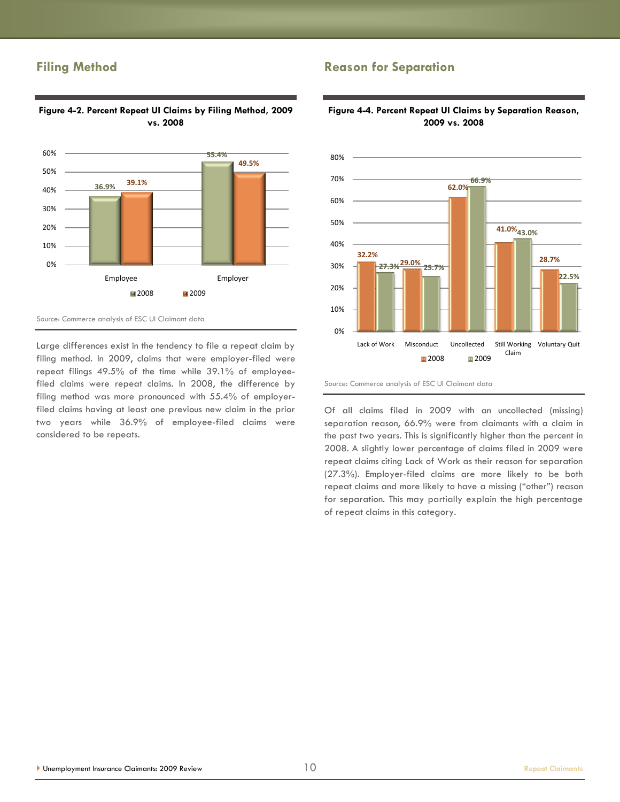### **Filing Method**

considered to be repeats.



Large differences exist in the tendency to file a repeat claim by filing method. In 2009, claims that were employer-filed were repeat filings 49.5% of the time while 39.1% of employeefiled claims were repeat claims. In 2008, the difference by filing method was more pronounced with 55.4% of employerfiled claims having at least one previous new claim in the prior two years while 36.9% of employee-filed claims were

#### **Figure 4-2. Percent Repeat UI Claims by Filing Method, 2009 vs. 2008**

## **Reason for Separation**



#### **Figure 4-4. Percent Repeat UI Claims by Separation Reason, 2009 vs. 2008**

Source: Commerce analysis of ESC UI Claimant data

Of all claims filed in 2009 with an uncollected (missing) separation reason, 66.9% were from claimants with a claim in the past two years. This is significantly higher than the percent in 2008. A slightly lower percentage of claims filed in 2009 were repeat claims citing Lack of Work as their reason for separation (27.3%). Employer-filed claims are more likely to be both repeat claims and more likely to have a missing ("other") reason for separation. This may partially explain the high percentage of repeat claims in this category.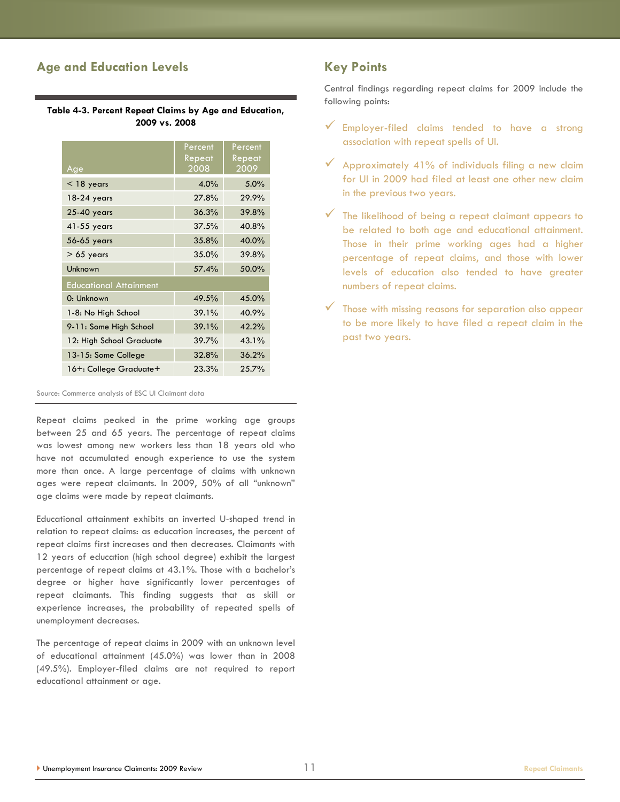## **Age and Education Levels**

**Table 4-3. Percent Repeat Claims by Age and Education, 2009 vs. 2008**

| Age                           | Percent<br>Repeat<br>2008 | Percent<br>Repeat<br>2009 |
|-------------------------------|---------------------------|---------------------------|
| $<$ 18 years                  | 4.0%                      | 5.0%                      |
| 18-24 years                   | 27.8%                     | 29.9%                     |
| 25-40 years                   | 36.3%                     | 39.8%                     |
| 41-55 years                   | 37.5%                     | 40.8%                     |
| 56-65 years                   | 35.8%                     | 40.0%                     |
| $> 65$ years                  | 35.0%                     | 39.8%                     |
| Unknown                       | 57.4%                     | 50.0%                     |
| <b>Educational Attainment</b> |                           |                           |
| 0: Unknown                    | 49.5%                     | 45.0%                     |
| 1-8: No High School           | 39.1%                     | 40.9%                     |
| 9-11: Some High School        | 39.1%                     | 42.2%                     |
| 12: High School Graduate      | 39.7%                     | 43.1%                     |
| 13-15: Some College           | 32.8%                     | 36.2%                     |
| 16+: College Graduate+        | 23.3%                     | 25.7%                     |

Source: Commerce analysis of ESC UI Claimant data

Repeat claims peaked in the prime working age groups between 25 and 65 years. The percentage of repeat claims was lowest among new workers less than 18 years old who have not accumulated enough experience to use the system more than once. A large percentage of claims with unknown ages were repeat claimants. In 2009, 50% of all "unknown" age claims were made by repeat claimants.

Educational attainment exhibits an inverted U-shaped trend in relation to repeat claims: as education increases, the percent of repeat claims first increases and then decreases. Claimants with 12 years of education (high school degree) exhibit the largest percentage of repeat claims at 43.1%. Those with a bachelor's degree or higher have significantly lower percentages of repeat claimants. This finding suggests that as skill or experience increases, the probability of repeated spells of unemployment decreases.

The percentage of repeat claims in 2009 with an unknown level of educational attainment (45.0%) was lower than in 2008 (49.5%). Employer-filed claims are not required to report educational attainment or age.

## **Key Points**

Central findings regarding repeat claims for 2009 include the following points:

- $\checkmark$  Employer-filed claims tended to have a strong association with repeat spells of UI.
- $\checkmark$  Approximately 41% of individuals filing a new claim for UI in 2009 had filed at least one other new claim in the previous two years.
- $\checkmark$  The likelihood of being a repeat claimant appears to be related to both age and educational attainment. Those in their prime working ages had a higher percentage of repeat claims, and those with lower levels of education also tended to have greater numbers of repeat claims.
- $\checkmark$  Those with missing reasons for separation also appear to be more likely to have filed a repeat claim in the past two years.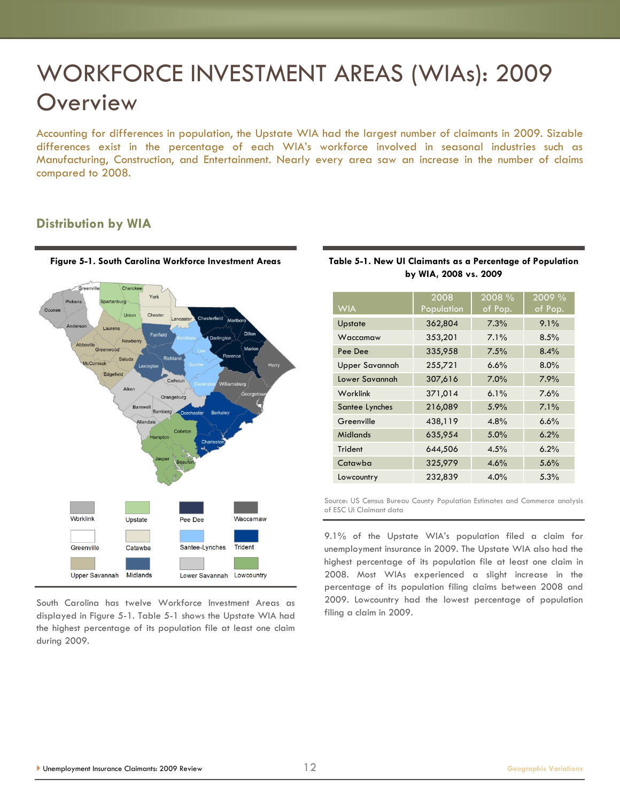# WORKFORCE INVESTMENT AREAS (WIAs): 2009 **Overview**

Accounting for differences in population, the Upstate WIA had the largest number of claimants in 2009. Sizable differences exist in the percentage of each WIA's workforce involved in seasonal industries such as Manufacturing, Construction, and Entertainment. Nearly every area saw an increase in the number of claims compared to 2008.

### **Distribution by WIA**



South Carolina has twelve Workforce Investment Areas as displayed in Figure 5-1. Table 5-1 shows the Upstate WIA had the highest percentage of its population file at least one claim during 2009.

| DY WIA, ZUU8 VS. ZUUY |                    |                      |                   |  |  |
|-----------------------|--------------------|----------------------|-------------------|--|--|
| <b>WIA</b>            | 2008<br>Population | $2008 \%$<br>of Pop. | 2009 %<br>of Pop. |  |  |
| Upstate               | 362,804            | 7.3%                 | 9.1%              |  |  |
| Waccamaw              | 353,201            | 7.1%                 | 8.5%              |  |  |
| Pee Dee               | 335,958            | 7.5%                 | 8.4%              |  |  |
| <b>Upper Savannah</b> | 255,721            | 6.6%                 | 8.0%              |  |  |
| Lower Savannah        | 307,616            | 7.0%                 | 7.9%              |  |  |
| Worklink              | 371,014            | 6.1%                 | 7.6%              |  |  |
| Santee Lynches        | 216,089            | 5.9%                 | 7.1%              |  |  |
| Greenville            | 438,119            | 4.8%                 | 6.6%              |  |  |
| <b>Midlands</b>       | 635,954            | 5.0%                 | 6.2%              |  |  |
| Trident               | 644,506            | 4.5%                 | 6.2%              |  |  |
| Catawba               | 325,979            | 4.6%                 | 5.6%              |  |  |
| Lowcountry            | 232,839            | 4.0%                 | 5.3%              |  |  |

#### **Table 5-1. New UI Claimants as a Percentage of Population by WIA, 2008 vs. 2009**

Source: US Census Bureau County Population Estimates and Commerce analysis of ESC UI Claimant data

9.1% of the Upstate WIA's population filed a claim for unemployment insurance in 2009. The Upstate WIA also had the highest percentage of its population file at least one claim in 2008. Most WIAs experienced a slight increase in the percentage of its population filing claims between 2008 and 2009. Lowcountry had the lowest percentage of population filing a claim in 2009.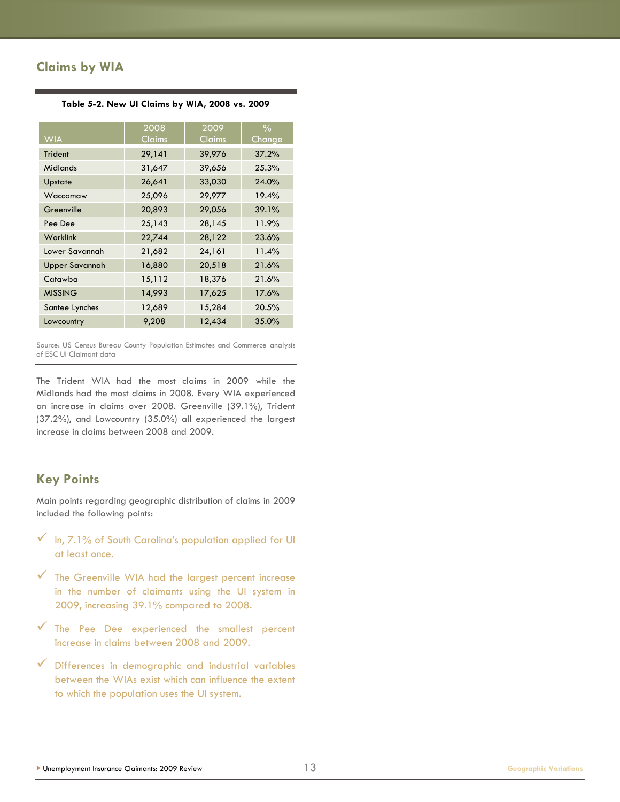## **Claims by WIA**

|                       | 2008          | 2009   | $\frac{0}{0}$ |
|-----------------------|---------------|--------|---------------|
| <b>WIA</b>            | <b>Claims</b> | Claims | Change        |
| Trident               | 29,141        | 39,976 | 37.2%         |
| Midlands              | 31,647        | 39,656 | 25.3%         |
| Upstate               | 26,641        | 33,030 | 24.0%         |
| Waccamaw              | 25,096        | 29,977 | 19.4%         |
| Greenville            | 20,893        | 29,056 | 39.1%         |
| Pee Dee               | 25,143        | 28,145 | 11.9%         |
| Worklink              | 22,744        | 28,122 | 23.6%         |
| Lower Savannah        | 21,682        | 24,161 | 11.4%         |
| <b>Upper Savannah</b> | 16,880        | 20,518 | 21.6%         |
| Catawba               | 15,112        | 18,376 | 21.6%         |
| <b>MISSING</b>        | 14,993        | 17,625 | 17.6%         |
| Santee Lynches        | 12,689        | 15,284 | 20.5%         |
| Lowcountry            | 9,208         | 12,434 | 35.0%         |

**Table 5-2. New UI Claims by WIA, 2008 vs. 2009**

Source: US Census Bureau County Population Estimates and Commerce analysis of ESC UI Claimant data

The Trident WIA had the most claims in 2009 while the Midlands had the most claims in 2008. Every WIA experienced an increase in claims over 2008. Greenville (39.1%), Trident (37.2%), and Lowcountry (35.0%) all experienced the largest increase in claims between 2008 and 2009.

### **Key Points**

Main points regarding geographic distribution of claims in 2009 included the following points:

- $\sqrt{\frac{1}{n}}$ , 7.1% of South Carolina's population applied for UI at least once.
- $\checkmark$  The Greenville WIA had the largest percent increase in the number of claimants using the UI system in 2009, increasing 39.1% compared to 2008.
- $\checkmark$  The Pee Dee experienced the smallest percent increase in claims between 2008 and 2009.
- $\checkmark$  Differences in demographic and industrial variables between the WIAs exist which can influence the extent to which the population uses the UI system.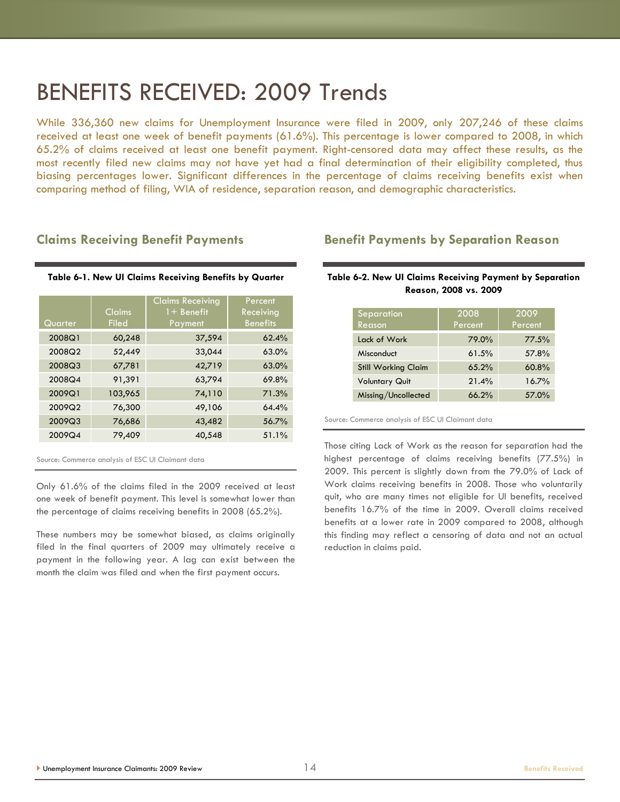## BENEFITS RECEIVED: 2009 Trends

While 336,360 new claims for Unemployment Insurance were filed in 2009, only 207,246 of these claims received at least one week of benefit payments (61.6%). This percentage is lower compared to 2008, in which 65.2% of claims received at least one benefit payment. Right-censored data may affect these results, as the most recently filed new claims may not have yet had a final determination of their eligibility completed, thus biasing percentages lower. Significant differences in the percentage of claims receiving benefits exist when comparing method of filing, WIA of residence, separation reason, and demographic characteristics.

#### **Claims Receiving Benefit Payments**

|  |  |  |  |  | Table 6-1. New UI Claims Receiving Benefits by Quarter |
|--|--|--|--|--|--------------------------------------------------------|
|--|--|--|--|--|--------------------------------------------------------|

| Quarter | Claims<br><b>Filed</b> | <b>Claims Receiving</b><br>$1 +$ Benefit<br>Payment | Percent<br>Receiving<br><b>Benefits</b> |
|---------|------------------------|-----------------------------------------------------|-----------------------------------------|
| 2008Q1  | 60,248                 | 37,594                                              | 62.4%                                   |
| 2008Q2  | 52,449                 | 33,044                                              | 63.0%                                   |
| 2008Q3  | 67,781                 | 42,719                                              | 63.0%                                   |
| 2008Q4  | 91,391                 | 63,794                                              | 69.8%                                   |
| 2009Q1  | 103,965                | 74,110                                              | 71.3%                                   |
| 2009Q2  | 76,300                 | 49,106                                              | 64.4%                                   |
| 2009Q3  | 76,686                 | 43,482                                              | 56.7%                                   |
| 2009Q4  | 79,409                 | 40,548                                              | 51.1%                                   |

Source: Commerce analysis of ESC UI Claimant data

Only 61.6% of the claims filed in the 2009 received at least one week of benefit payment. This level is somewhat lower than the percentage of claims receiving benefits in 2008 (65.2%).

These numbers may be somewhat biased, as claims originally filed in the final quarters of 2009 may ultimately receive a payment in the following year. A lag can exist between the month the claim was filed and when the first payment occurs.

#### **Benefit Payments by Separation Reason**

#### **Table 6-2. New UI Claims Receiving Payment by Separation Reason, 2008 vs. 2009**

| Separation<br>Reason       | 2008<br>Percent | 2009<br>Percent |
|----------------------------|-----------------|-----------------|
| Lack of Work               | 79.0%           | 77.5%           |
| Misconduct                 | 61.5%           | 57.8%           |
| <b>Still Working Claim</b> | 65.2%           | 60.8%           |
| <b>Voluntary Quit</b>      | 21.4%           | 16.7%           |
| Missing/Uncollected        | 66.2%           | 57.0%           |

Source: Commerce analysis of ESC UI Claimant data

Those citing Lack of Work as the reason for separation had the highest percentage of claims receiving benefits (77.5%) in 2009. This percent is slightly down from the 79.0% of Lack of Work claims receiving benefits in 2008. Those who voluntarily quit, who are many times not eligible for UI benefits, received benefits 16.7% of the time in 2009. Overall claims received benefits at a lower rate in 2009 compared to 2008, although this finding may reflect a censoring of data and not an actual reduction in claims paid.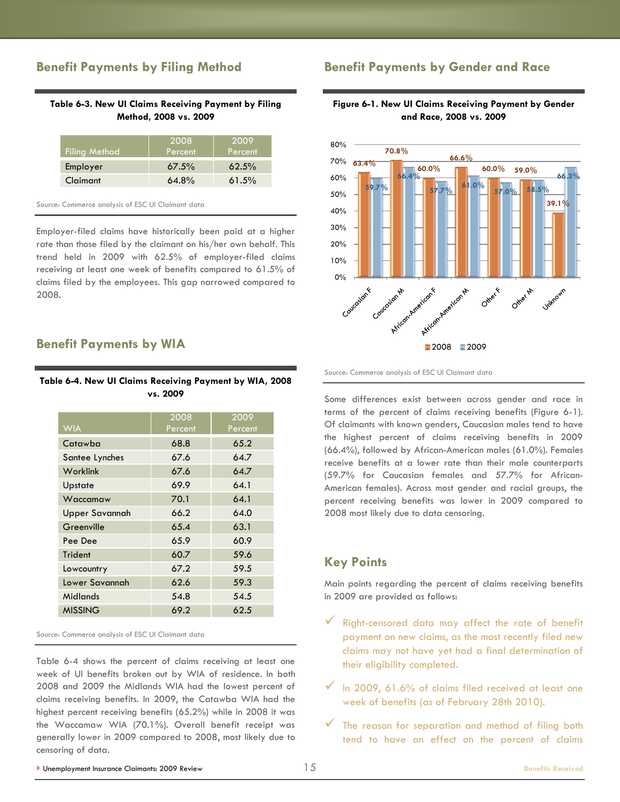### **Benefit Payments by Filing Method**

#### **Table 6-3. New UI Claims Receiving Payment by Filing Method, 2008 vs. 2009**

| <b>Filing Method</b> | 2008<br>Percent | 2009<br>Percent |
|----------------------|-----------------|-----------------|
| Employer             | 67.5%           | 62.5%           |
| Claimant             | $64.8\%$        | 61.5%           |

Source: Commerce analysis of ESC UI Claimant data

Employer-filed claims have historically been paid at a higher rate than those filed by the claimant on his/her own behalf. This trend held in 2009 with 62.5% of employer-filed claims receiving at least one week of benefits compared to 61.5% of claims filed by the employees. This gap narrowed compared to 2008.

#### **Benefit Payments by WIA**

#### **Table 6-4. New UI Claims Receiving Payment by WIA, 2008 vs. 2009**

|                       | 2008    | 2009    |
|-----------------------|---------|---------|
| <b>WIA</b>            | Percent | Percent |
| Catawba               | 68.8    | 65.2    |
| Santee Lynches        | 67.6    | 64.7    |
| Worklink              | 67.6    | 64.7    |
| Upstate               | 69.9    | 64.1    |
| Waccamaw              | 70.1    | 64.1    |
| <b>Upper Savannah</b> | 66.2    | 64.0    |
| Greenville            | 65.4    | 63.1    |
| Pee Dee               | 65.9    | 60.9    |
| <b>Trident</b>        | 60.7    | 59.6    |
| Lowcountry            | 67.2    | 59.5    |
| Lower Savannah        | 62.6    | 59.3    |
| Midlands              | 54.8    | 54.5    |
| <b>MISSING</b>        | 69.2    | 62.5    |

Source: Commerce analysis of ESC UI Claimant data

Table 6-4 shows the percent of claims receiving at least one week of UI benefits broken out by WIA of residence. In both 2008 and 2009 the Midlands WIA had the lowest percent of claims receiving benefits. In 2009, the Catawba WIA had the highest percent receiving benefits (65.2%) while in 2008 it was the Waccamaw WIA (70.1%). Overall benefit receipt was generally lower in 2009 compared to 2008, most likely due to censoring of data.

#### **Benefit Payments by Gender and Race**

#### **Figure 6-1. New UI Claims Receiving Payment by Gender and Race, 2008 vs. 2009**



Source: Commerce analysis of ESC UI Claimant data

Some differences exist between across gender and race in terms of the percent of claims receiving benefits (Figure 6-1). Of claimants with known genders, Caucasian males tend to have the highest percent of claims receiving benefits in 2009 (66.4%), followed by African-American males (61.0%). Females receive benefits at a lower rate than their male counterparts (59.7% for Caucasian females and 57.7% for African-American females). Across most gender and racial groups, the percent receiving benefits was lower in 2009 compared to 2008 most likely due to data censoring.

#### **Key Points**

Main points regarding the percent of claims receiving benefits in 2009 are provided as follows:

- Right-censored data may affect the rate of benefit payment on new claims, as the most recently filed new claims may not have yet had a final determination of their eligibility completed.
- $\checkmark$  In 2009, 61.6% of claims filed received at least one week of benefits (as of February 28th 2010).
- $\checkmark$  The reason for separation and method of filing both tend to have an effect on the percent of claims